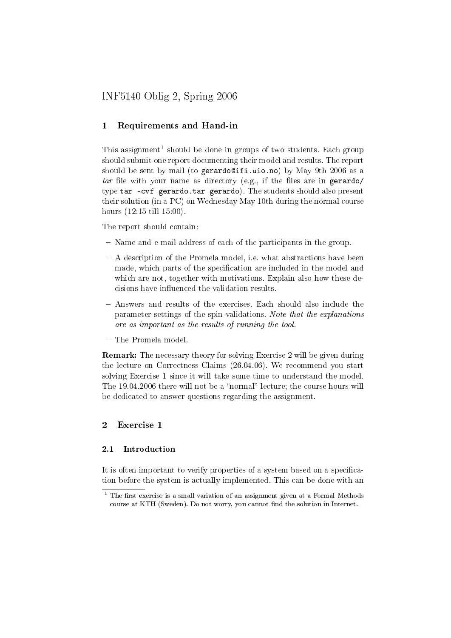# INF5140 Oblig 2, Spring 2006

# 1 Requirements and Hand-in

This assignment<sup>1</sup> should be done in groups of two students. Each group should submit one report documenting their model and results. The report should be sent by mail (to gerardo@ifi.uio.no) by May 9th 2006 as a tar file with your name as directory (e.g., if the files are in gerardo/ type tar -cvf gerardo.tar gerardo). The students should also present their solution (in a PC) on Wednesday May 10th during the normal course hours (12:15 till 15:00).

The report should contain:

- Name and e-mail address of each of the participants in the group.
- A description of the Promela model, i.e. what abstractions have been made, which parts of the specification are included in the model and which are not, together with motivations. Explain also how these decisions have influenced the validation results.
- Answers and results of the exercises. Each should also include the parameter settings of the spin validations. Note that the explanations are as important as the results of running the tool.
- The Promela model.

Remark: The necessary theory for solving Exercise 2 will be given during the lecture on Correctness Claims (26.04.06). We recommend you start solving Exercise 1 since it will take some time to understand the model. The  $19.04.2006$  there will not be a "normal" lecture; the course hours will be dedicated to answer questions regarding the assignment.

### 2 Exercise 1

#### 2.1 Introduction

It is often important to verify properties of a system based on a specification before the system is actually implemented. This can be done with an

 $1$  The first exercise is a small variation of an assignment given at a Formal Methods course at KTH (Sweden). Do not worry, you cannot find the solution in Internet.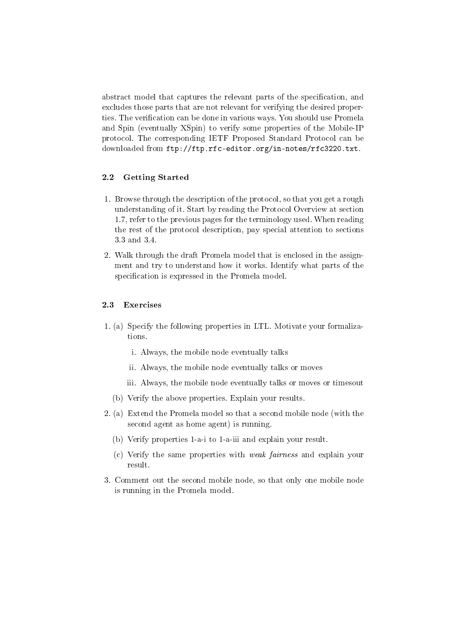abstract model that captures the relevant parts of the specification, and excludes those parts that are not relevant for verifying the desired properties. The verification can be done in various ways. You should use Promela and Spin (eventually XSpin) to verify some properties of the Mobile-IP protocol. The corresponding IETF Proposed Standard Protocol can be downloaded from ftp://ftp.rfc-editor.org/in-notes/rfc3220.txt.

### 2.2 Getting Started

- 1. Browse through the description of the protocol, so that you get a rough understanding of it. Start by reading the Protocol Overview at section 1.7, refer to the previous pages for the terminology used. When reading the rest of the protocol description, pay special attention to sections 3.3 and 3.4.
- 2. Walk through the draft Promela model that is enclosed in the assignment and try to understand how it works. Identify what parts of the specification is expressed in the Promela model.

#### 2.3 Exercises

- 1. (a) Specify the following properties in LTL. Motivate your formalizations.
	- i. Always, the mobile node eventually talks
	- ii. Always, the mobile node eventually talks or moves
	- iii. Always, the mobile node eventually talks or moves or timesout
	- (b) Verify the above properties. Explain your results.
- 2. (a) Extend the Promela model so that a second mobile node (with the second agent as home agent) is running.
	- (b) Verify properties 1-a-i to 1-a-iii and explain your result.
	- (c) Verify the same properties with weak fairness and explain your result.
- 3. Comment out the second mobile node, so that only one mobile node is running in the Promela model.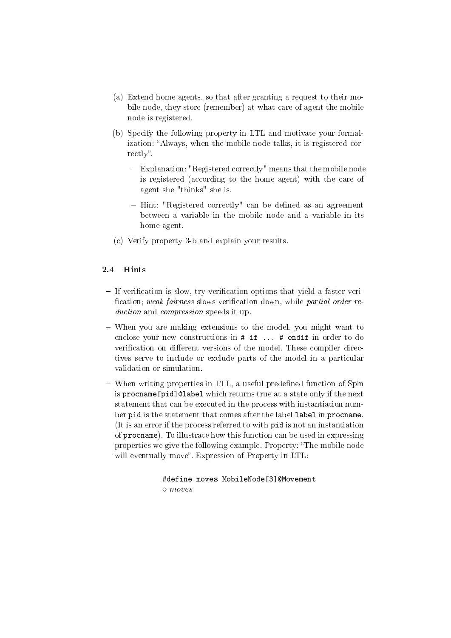- (a) Extend home agents, so that after granting a request to their mobile node, they store (remember) at what care of agent the mobile node is registered.
- (b) Specify the following property in LTL and motivate your formalization: Always, when the mobile node talks, it is registered correctly".
	- Explanation: "Registered correctly" means that the mobile node is registered (according to the home agent) with the care of agent she "thinks" she is.
	- Hint: "Registered correctly" can be defined as an agreement between a variable in the mobile node and a variable in its home agent.
- (c) Verify property 3-b and explain your results.

### 2.4 Hints

- $-I$  If verification is slow, try verification options that yield a faster verification; weak fairness slows verification down, while partial order reduction and compression speeds it up.
- When you are making extensions to the model, you might want to enclose your new constructions in # if ... # endif in order to do verification on different versions of the model. These compiler directives serve to include or exclude parts of the model in a particular validation or simulation.
- When writing properties in LTL, a useful predefined function of Spin is procname[pid]@label which returns true at a state only if the next statement that can be executed in the process with instantiation number pid is the statement that comes after the label label in procname. (It is an error if the process referred to with pid is not an instantiation of procname). To illustrate how this function can be used in expressing properties we give the following example. Property: "The mobile node will eventually move". Expression of Property in LTL:

#define moves MobileNode[3]@Movement  $\Diamond$  moves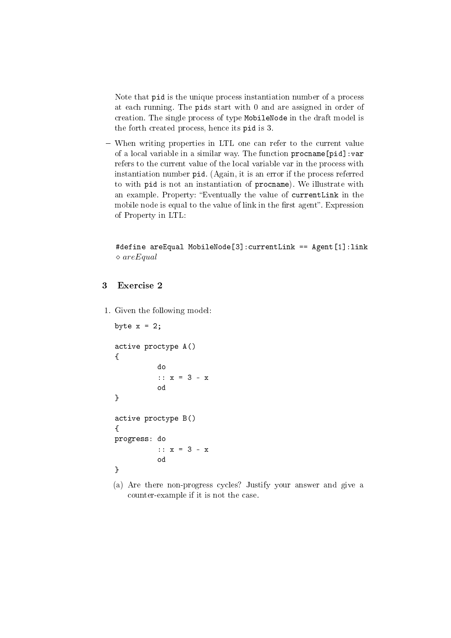Note that pid is the unique process instantiation number of a process at each running. The pids start with 0 and are assigned in order of creation. The single process of type MobileNode in the draft model is the forth created process, hence its pid is 3.

 When writing properties in LTL one can refer to the current value of a local variable in a similar way. The function procname[pid]:var refers to the current value of the local variable var in the process with instantiation number pid. (Again, it is an error if the process referred to with pid is not an instantiation of procname). We illustrate with an example. Property: Eventually the value of currentLink in the mobile node is equal to the value of link in the first agent". Expression of Property in LTL:

#define areEqual MobileNode[3]:currentLink == Agent[1]:link  $\Diamond$  are Equal

## 3 Exercise 2

1. Given the following model:

```
byte x = 2;
active proctype A()
{
           do
           :: x = 3 - x
           od
}
active proctype B()
{
progress: do
           :: x = 3 - x
           od
}
```
(a) Are there non-progress cycles? Justify your answer and give a counter-example if it is not the case.